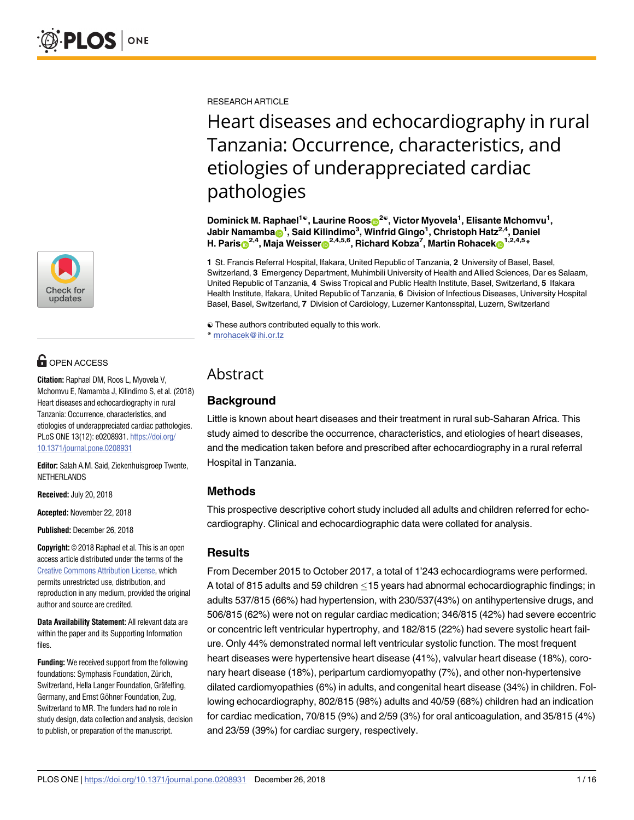

# **OPEN ACCESS**

**Citation:** Raphael DM, Roos L, Myovela V, Mchomvu E, Namamba J, Kilindimo S, et al. (2018) Heart diseases and echocardiography in rural Tanzania: Occurrence, characteristics, and etiologies of underappreciated cardiac pathologies. PLoS ONE 13(12): e0208931. [https://doi.org/](https://doi.org/10.1371/journal.pone.0208931) [10.1371/journal.pone.0208931](https://doi.org/10.1371/journal.pone.0208931)

**Editor:** Salah A.M. Said, Ziekenhuisgroep Twente, NETHERLANDS

**Received:** July 20, 2018

**Accepted:** November 22, 2018

**Published:** December 26, 2018

**Copyright:** © 2018 Raphael et al. This is an open access article distributed under the terms of the Creative Commons [Attribution](http://creativecommons.org/licenses/by/4.0/) License, which permits unrestricted use, distribution, and reproduction in any medium, provided the original author and source are credited.

**Data Availability Statement:** All relevant data are within the paper and its Supporting Information files.

**Funding:** We received support from the following foundations: Symphasis Foundation, Zürich, Switzerland, Hella Langer Foundation, Gräfelfing, Germany, and Ernst Göhner Foundation, Zug, Switzerland to MR. The funders had no role in study design, data collection and analysis, decision to publish, or preparation of the manuscript.

RESEARCH ARTICLE

Heart diseases and echocardiography in rural Tanzania: Occurrence, characteristics, and etiologies of underappreciated cardiac pathologies

 $\bm{D}$ ominick M.  $\bm{\mathsf{R}}$ aphael $^{1\circ}$ , Laurine  $\bm{\mathsf{Roos} \odot}^{\mathsf{2}\circ}$ , Victor Myovela $^{1}$ , Elisante Mchomvu $^{1},$  $\lambda$ Jabir Namamba $\textbf{D}^1$ , Said Kilindimo $^3$ , Winfrid Gingo<sup>1</sup>, Christoph Hatz<sup>2,4</sup>, Daniel  $H$ . Paris $\mathbf{D}^{2,4}$ , Maja Weisser $\mathbf{D}^{2,4,5,6}$ , Richard Kobza<sup>7</sup>, Martin Rohacek $\mathbf{D}^{1,2,4,5}$ \*

**1** St. Francis Referral Hospital, Ifakara, United Republic of Tanzania, **2** University of Basel, Basel, Switzerland, **3** Emergency Department, Muhimbili University of Health and Allied Sciences, Dar es Salaam, United Republic of Tanzania, **4** Swiss Tropical and Public Health Institute, Basel, Switzerland, **5** Ifakara Health Institute, Ifakara, United Republic of Tanzania, **6** Division of Infectious Diseases, University Hospital Basel, Basel, Switzerland, **7** Division of Cardiology, Luzerner Kantonsspital, Luzern, Switzerland

☯ These authors contributed equally to this work.

\* mrohacek@ihi.or.tz

# Abstract

## **Background**

Little is known about heart diseases and their treatment in rural sub-Saharan Africa. This study aimed to describe the occurrence, characteristics, and etiologies of heart diseases, and the medication taken before and prescribed after echocardiography in a rural referral Hospital in Tanzania.

## **Methods**

This prospective descriptive cohort study included all adults and children referred for echocardiography. Clinical and echocardiographic data were collated for analysis.

## **Results**

From December 2015 to October 2017, a total of 1'243 echocardiograms were performed. A total of 815 adults and 59 children  $\leq$ 15 years had abnormal echocardiographic findings; in adults 537/815 (66%) had hypertension, with 230/537(43%) on antihypertensive drugs, and 506/815 (62%) were not on regular cardiac medication; 346/815 (42%) had severe eccentric or concentric left ventricular hypertrophy, and 182/815 (22%) had severe systolic heart failure. Only 44% demonstrated normal left ventricular systolic function. The most frequent heart diseases were hypertensive heart disease (41%), valvular heart disease (18%), coronary heart disease (18%), peripartum cardiomyopathy (7%), and other non-hypertensive dilated cardiomyopathies (6%) in adults, and congenital heart disease (34%) in children. Following echocardiography, 802/815 (98%) adults and 40/59 (68%) children had an indication for cardiac medication, 70/815 (9%) and 2/59 (3%) for oral anticoagulation, and 35/815 (4%) and 23/59 (39%) for cardiac surgery, respectively.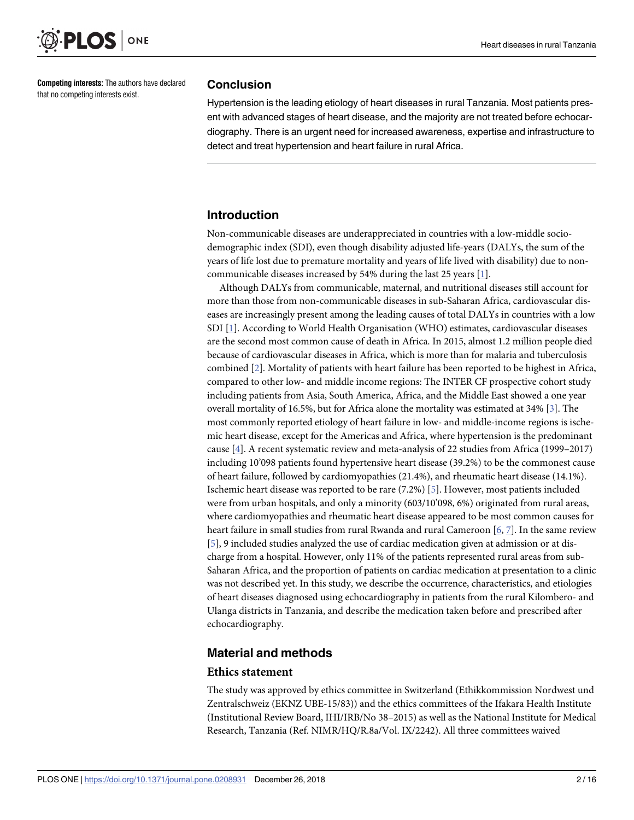<span id="page-1-0"></span>

**Competing interests:** The authors have declared that no competing interests exist.

#### **Conclusion**

Hypertension is the leading etiology of heart diseases in rural Tanzania. Most patients present with advanced stages of heart disease, and the majority are not treated before echocardiography. There is an urgent need for increased awareness, expertise and infrastructure to detect and treat hypertension and heart failure in rural Africa.

### **Introduction**

Non-communicable diseases are underappreciated in countries with a low-middle sociodemographic index (SDI), even though disability adjusted life-years (DALYs, the sum of the years of life lost due to premature mortality and years of life lived with disability) due to noncommunicable diseases increased by 54% during the last 25 years [[1\]](#page-12-0).

Although DALYs from communicable, maternal, and nutritional diseases still account for more than those from non-communicable diseases in sub-Saharan Africa, cardiovascular diseases are increasingly present among the leading causes of total DALYs in countries with a low SDI [\[1\]](#page-12-0). According to World Health Organisation (WHO) estimates, cardiovascular diseases are the second most common cause of death in Africa. In 2015, almost 1.2 million people died because of cardiovascular diseases in Africa, which is more than for malaria and tuberculosis combined [[2\]](#page-12-0). Mortality of patients with heart failure has been reported to be highest in Africa, compared to other low- and middle income regions: The INTER CF prospective cohort study including patients from Asia, South America, Africa, and the Middle East showed a one year overall mortality of 16.5%, but for Africa alone the mortality was estimated at 34% [[3\]](#page-12-0). The most commonly reported etiology of heart failure in low- and middle-income regions is ischemic heart disease, except for the Americas and Africa, where hypertension is the predominant cause [\[4](#page-12-0)]. A recent systematic review and meta-analysis of 22 studies from Africa (1999–2017) including 10'098 patients found hypertensive heart disease (39.2%) to be the commonest cause of heart failure, followed by cardiomyopathies (21.4%), and rheumatic heart disease (14.1%). Ischemic heart disease was reported to be rare (7.2%) [\[5](#page-12-0)]. However, most patients included were from urban hospitals, and only a minority (603/10'098, 6%) originated from rural areas, where cardiomyopathies and rheumatic heart disease appeared to be most common causes for heart failure in small studies from rural Rwanda and rural Cameroon [[6](#page-12-0), [7\]](#page-13-0). In the same review [\[5](#page-12-0)], 9 included studies analyzed the use of cardiac medication given at admission or at discharge from a hospital. However, only 11% of the patients represented rural areas from sub-Saharan Africa, and the proportion of patients on cardiac medication at presentation to a clinic was not described yet. In this study, we describe the occurrence, characteristics, and etiologies of heart diseases diagnosed using echocardiography in patients from the rural Kilombero- and Ulanga districts in Tanzania, and describe the medication taken before and prescribed after echocardiography.

## **Material and methods**

#### **Ethics statement**

The study was approved by ethics committee in Switzerland (Ethikkommission Nordwest und Zentralschweiz (EKNZ UBE-15/83)) and the ethics committees of the Ifakara Health Institute (Institutional Review Board, IHI/IRB/No 38–2015) as well as the National Institute for Medical Research, Tanzania (Ref. NIMR/HQ/R.8a/Vol. IX/2242). All three committees waived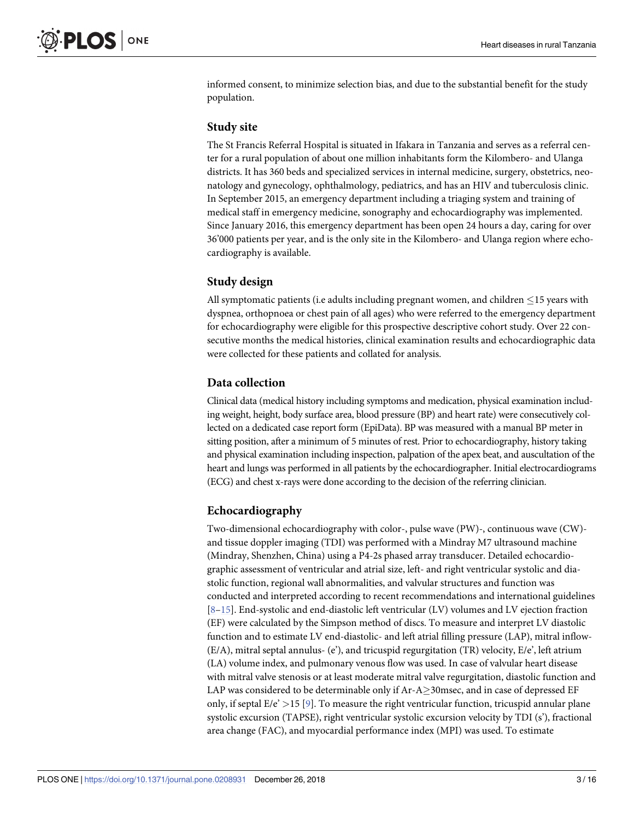<span id="page-2-0"></span>informed consent, to minimize selection bias, and due to the substantial benefit for the study population.

#### **Study site**

The St Francis Referral Hospital is situated in Ifakara in Tanzania and serves as a referral center for a rural population of about one million inhabitants form the Kilombero- and Ulanga districts. It has 360 beds and specialized services in internal medicine, surgery, obstetrics, neonatology and gynecology, ophthalmology, pediatrics, and has an HIV and tuberculosis clinic. In September 2015, an emergency department including a triaging system and training of medical staff in emergency medicine, sonography and echocardiography was implemented. Since January 2016, this emergency department has been open 24 hours a day, caring for over 36'000 patients per year, and is the only site in the Kilombero- and Ulanga region where echocardiography is available.

## **Study design**

All symptomatic patients (i.e adults including pregnant women, and children  $\leq$  15 years with dyspnea, orthopnoea or chest pain of all ages) who were referred to the emergency department for echocardiography were eligible for this prospective descriptive cohort study. Over 22 consecutive months the medical histories, clinical examination results and echocardiographic data were collected for these patients and collated for analysis.

#### **Data collection**

Clinical data (medical history including symptoms and medication, physical examination including weight, height, body surface area, blood pressure (BP) and heart rate) were consecutively collected on a dedicated case report form (EpiData). BP was measured with a manual BP meter in sitting position, after a minimum of 5 minutes of rest. Prior to echocardiography, history taking and physical examination including inspection, palpation of the apex beat, and auscultation of the heart and lungs was performed in all patients by the echocardiographer. Initial electrocardiograms (ECG) and chest x-rays were done according to the decision of the referring clinician.

### **Echocardiography**

Two-dimensional echocardiography with color-, pulse wave (PW)-, continuous wave (CW) and tissue doppler imaging (TDI) was performed with a Mindray M7 ultrasound machine (Mindray, Shenzhen, China) using a P4-2s phased array transducer. Detailed echocardiographic assessment of ventricular and atrial size, left- and right ventricular systolic and diastolic function, regional wall abnormalities, and valvular structures and function was conducted and interpreted according to recent recommendations and international guidelines [\[8–15\]](#page-13-0). End-systolic and end-diastolic left ventricular (LV) volumes and LV ejection fraction (EF) were calculated by the Simpson method of discs. To measure and interpret LV diastolic function and to estimate LV end-diastolic- and left atrial filling pressure (LAP), mitral inflow- (E/A), mitral septal annulus- (e'), and tricuspid regurgitation (TR) velocity, E/e', left atrium (LA) volume index, and pulmonary venous flow was used. In case of valvular heart disease with mitral valve stenosis or at least moderate mitral valve regurgitation, diastolic function and LAP was considered to be determinable only if  $Ar-A>30$ msec, and in case of depressed EF only, if septal E/e' *>*15 [\[9\]](#page-13-0). To measure the right ventricular function, tricuspid annular plane systolic excursion (TAPSE), right ventricular systolic excursion velocity by TDI (s'), fractional area change (FAC), and myocardial performance index (MPI) was used. To estimate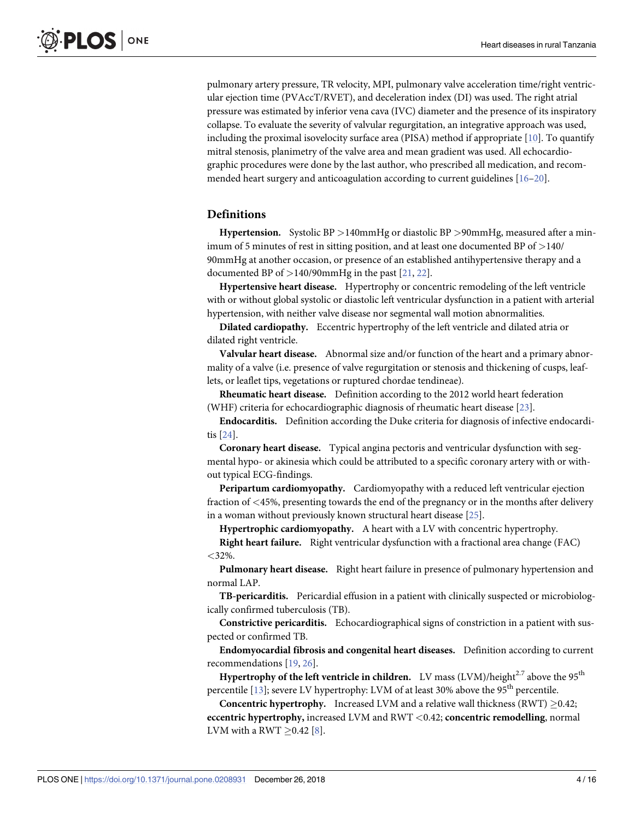<span id="page-3-0"></span>pulmonary artery pressure, TR velocity, MPI, pulmonary valve acceleration time/right ventricular ejection time (PVAccT/RVET), and deceleration index (DI) was used. The right atrial pressure was estimated by inferior vena cava (IVC) diameter and the presence of its inspiratory collapse. To evaluate the severity of valvular regurgitation, an integrative approach was used, including the proximal isovelocity surface area (PISA) method if appropriate [[10](#page-13-0)]. To quantify mitral stenosis, planimetry of the valve area and mean gradient was used. All echocardiographic procedures were done by the last author, who prescribed all medication, and recommended heart surgery and anticoagulation according to current guidelines [\[16–20\]](#page-13-0).

### **Definitions**

**Hypertension.** Systolic BP *>*140mmHg or diastolic BP *>*90mmHg, measured after a minimum of 5 minutes of rest in sitting position, and at least one documented BP of *>*140/ 90mmHg at another occasion, or presence of an established antihypertensive therapy and a documented BP of *>*140/90mmHg in the past [[21](#page-13-0), [22](#page-13-0)].

**Hypertensive heart disease.** Hypertrophy or concentric remodeling of the left ventricle with or without global systolic or diastolic left ventricular dysfunction in a patient with arterial hypertension, with neither valve disease nor segmental wall motion abnormalities.

**Dilated cardiopathy.** Eccentric hypertrophy of the left ventricle and dilated atria or dilated right ventricle.

**Valvular heart disease.** Abnormal size and/or function of the heart and a primary abnormality of a valve (i.e. presence of valve regurgitation or stenosis and thickening of cusps, leaflets, or leaflet tips, vegetations or ruptured chordae tendineae).

**Rheumatic heart disease.** Definition according to the 2012 world heart federation (WHF) criteria for echocardiographic diagnosis of rheumatic heart disease [[23](#page-13-0)].

**Endocarditis.** Definition according the Duke criteria for diagnosis of infective endocarditis [[24](#page-14-0)].

**Coronary heart disease.** Typical angina pectoris and ventricular dysfunction with segmental hypo- or akinesia which could be attributed to a specific coronary artery with or without typical ECG-findings.

**Peripartum cardiomyopathy.** Cardiomyopathy with a reduced left ventricular ejection fraction of *<*45%, presenting towards the end of the pregnancy or in the months after delivery in a woman without previously known structural heart disease [\[25\]](#page-14-0).

**Hypertrophic cardiomyopathy.** A heart with a LV with concentric hypertrophy.

**Right heart failure.** Right ventricular dysfunction with a fractional area change (FAC) *<*32%.

**Pulmonary heart disease.** Right heart failure in presence of pulmonary hypertension and normal LAP.

**TB-pericarditis.** Pericardial effusion in a patient with clinically suspected or microbiologically confirmed tuberculosis (TB).

**Constrictive pericarditis.** Echocardiographical signs of constriction in a patient with suspected or confirmed TB.

**Endomyocardial fibrosis and congenital heart diseases.** Definition according to current recommendations [\[19,](#page-13-0) [26\]](#page-14-0).

**Hypertrophy of the left ventricle in children.** LV mass (LVM)/height<sup>2.7</sup> above the  $95<sup>th</sup>$ percentile [\[13\]](#page-13-0); severe LV hypertrophy: LVM of at least 30% above the  $95<sup>th</sup>$  percentile.

**Concentric hypertrophy.** Increased LVM and a relative wall thickness (RWT)  $\geq$ 0.42; **eccentric hypertrophy,** increased LVM and RWT *<*0.42; **concentric remodelling**, normal LVM with a RWT  $\geq$ 0.42 [\[8\]](#page-13-0).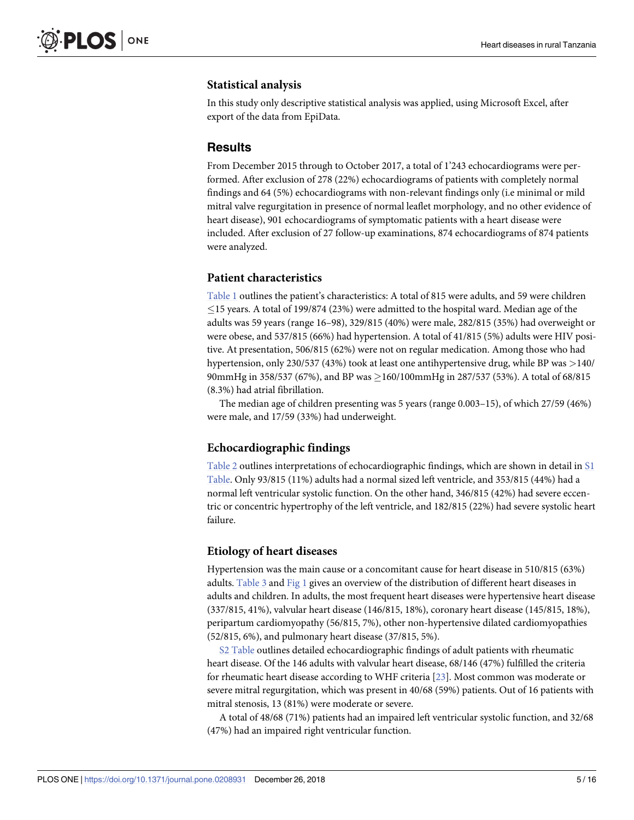#### <span id="page-4-0"></span>**Statistical analysis**

In this study only descriptive statistical analysis was applied, using Microsoft Excel, after export of the data from EpiData.

#### **Results**

From December 2015 through to October 2017, a total of 1'243 echocardiograms were performed. After exclusion of 278 (22%) echocardiograms of patients with completely normal findings and 64 (5%) echocardiograms with non-relevant findings only (i.e minimal or mild mitral valve regurgitation in presence of normal leaflet morphology, and no other evidence of heart disease), 901 echocardiograms of symptomatic patients with a heart disease were included. After exclusion of 27 follow-up examinations, 874 echocardiograms of 874 patients were analyzed.

#### **Patient characteristics**

[Table](#page-5-0) 1 outlines the patient's characteristics: A total of 815 were adults, and 59 were children  $\leq$ 15 years. A total of 199/874 (23%) were admitted to the hospital ward. Median age of the adults was 59 years (range 16–98), 329/815 (40%) were male, 282/815 (35%) had overweight or were obese, and 537/815 (66%) had hypertension. A total of 41/815 (5%) adults were HIV positive. At presentation, 506/815 (62%) were not on regular medication. Among those who had hypertension, only 230/537 (43%) took at least one antihypertensive drug, while BP was *>*140/ 90mmHg in 358/537 (67%), and BP was  $\geq$ 160/100mmHg in 287/537 (53%). A total of 68/815 (8.3%) had atrial fibrillation.

The median age of children presenting was 5 years (range 0.003–15), of which 27/59 (46%) were male, and 17/59 (33%) had underweight.

#### **Echocardiographic findings**

[Table](#page-6-0) 2 outlines interpretations of echocardiographic findings, which are shown in detail in [S1](#page-11-0) [Table](#page-11-0). Only 93/815 (11%) adults had a normal sized left ventricle, and 353/815 (44%) had a normal left ventricular systolic function. On the other hand, 346/815 (42%) had severe eccentric or concentric hypertrophy of the left ventricle, and 182/815 (22%) had severe systolic heart failure.

#### **Etiology of heart diseases**

Hypertension was the main cause or a concomitant cause for heart disease in 510/815 (63%) adults. [Table](#page-7-0) 3 and [Fig](#page-8-0) 1 gives an overview of the distribution of different heart diseases in adults and children. In adults, the most frequent heart diseases were hypertensive heart disease (337/815, 41%), valvular heart disease (146/815, 18%), coronary heart disease (145/815, 18%), peripartum cardiomyopathy (56/815, 7%), other non-hypertensive dilated cardiomyopathies (52/815, 6%), and pulmonary heart disease (37/815, 5%).

S2 [Table](#page-11-0) outlines detailed echocardiographic findings of adult patients with rheumatic heart disease. Of the 146 adults with valvular heart disease, 68/146 (47%) fulfilled the criteria for rheumatic heart disease according to WHF criteria [\[23\]](#page-13-0). Most common was moderate or severe mitral regurgitation, which was present in 40/68 (59%) patients. Out of 16 patients with mitral stenosis, 13 (81%) were moderate or severe.

A total of 48/68 (71%) patients had an impaired left ventricular systolic function, and 32/68 (47%) had an impaired right ventricular function.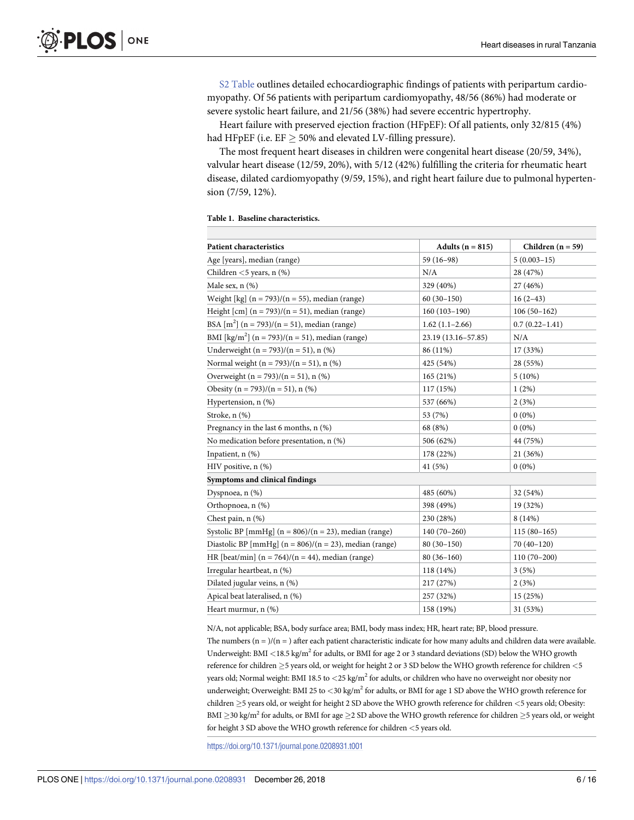<span id="page-5-0"></span>S2 [Table](#page-11-0) outlines detailed echocardiographic findings of patients with peripartum cardiomyopathy. Of 56 patients with peripartum cardiomyopathy, 48/56 (86%) had moderate or severe systolic heart failure, and 21/56 (38%) had severe eccentric hypertrophy.

Heart failure with preserved ejection fraction (HFpEF): Of all patients, only 32/815 (4%) had HFpEF (i.e.  $EF > 50\%$  and elevated LV-filling pressure).

The most frequent heart diseases in children were congenital heart disease (20/59, 34%), valvular heart disease (12/59, 20%), with 5/12 (42%) fulfilling the criteria for rheumatic heart disease, dilated cardiomyopathy (9/59, 15%), and right heart failure due to pulmonal hypertension (7/59, 12%).

| <b>Patient characteristics</b>                              | Adults $(n = 815)$  | Children ( $n = 59$ ) |  |  |
|-------------------------------------------------------------|---------------------|-----------------------|--|--|
| Age [years], median (range)                                 | 59 (16-98)          | $5(0.003-15)$         |  |  |
| Children <5 years, n (%)                                    | N/A                 | 28 (47%)              |  |  |
| Male sex, n (%)                                             | 329 (40%)           | 27 (46%)              |  |  |
| Weight [kg] $(n = 793)/(n = 55)$ , median (range)           | $60(30-150)$        | $16(2-43)$            |  |  |
| Height [cm] $(n = 793)/(n = 51)$ , median (range)           | $160(103-190)$      | $106(50-162)$         |  |  |
| BSA $[m^2]$ (n = 793)/(n = 51), median (range)              | $1.62(1.1-2.66)$    | $0.7(0.22 - 1.41)$    |  |  |
| BMI [kg/m <sup>2</sup> ] (n = 793)/(n = 51), median (range) | 23.19 (13.16-57.85) | N/A                   |  |  |
| Underweight $(n = 793)/(n = 51)$ , n $(\%)$                 | 86 (11%)            | 17 (33%)              |  |  |
| Normal weight $(n = 793)/(n = 51)$ , n $(\%)$               | 425 (54%)           | 28 (55%)              |  |  |
| Overweight $(n = 793)/(n = 51)$ , n $(\%)$                  | 165(21%)            | $5(10\%)$             |  |  |
| Obesity $(n = 793)/(n = 51)$ , n $(\%)$                     | 117 (15%)           | 1(2%)                 |  |  |
| Hypertension, n (%)                                         | 537 (66%)           | 2(3%)                 |  |  |
| Stroke, n (%)                                               | 53 (7%)             | $0(0\%)$              |  |  |
| Pregnancy in the last 6 months, n (%)                       | 68 (8%)             | $0(0\%)$              |  |  |
| No medication before presentation, n (%)                    | 506 (62%)           | 44 (75%)              |  |  |
| Inpatient, n (%)                                            | 178 (22%)           | 21 (36%)              |  |  |
| HIV positive, n (%)                                         | 41 (5%)             | $0(0\%)$              |  |  |
| Symptoms and clinical findings                              |                     |                       |  |  |
| Dyspnoea, n (%)                                             | 485 (60%)           | 32 (54%)              |  |  |
| Orthopnoea, n (%)                                           | 398 (49%)           | 19 (32%)              |  |  |
| Chest pain, $n$ $(\%)$                                      | 230 (28%)           | 8(14%)                |  |  |
| Systolic BP [mmHg] $(n = 806)/(n = 23)$ , median (range)    | $140(70-260)$       | $115(80-165)$         |  |  |
| Diastolic BP [mmHg] $(n = 806)/(n = 23)$ , median (range)   | $80(30-150)$        | 70 (40-120)           |  |  |
| HR [beat/min] $(n = 764)/(n = 44)$ , median (range)         | $80(36-160)$        | $110(70-200)$         |  |  |
| Irregular heartbeat, n (%)                                  | 118 (14%)           | 3(5%)                 |  |  |
| Dilated jugular veins, n (%)                                | 217 (27%)           | 2(3%)                 |  |  |
| Apical beat lateralised, n (%)                              | 257 (32%)           | 15 (25%)              |  |  |
| Heart murmur, n (%)                                         | 158 (19%)           | 31 (53%)              |  |  |

#### **[Table](#page-4-0) 1. Baseline characteristics.**

N/A, not applicable; BSA, body surface area; BMI, body mass index; HR, heart rate; BP, blood pressure. The numbers  $(n =)/(n =)$  after each patient characteristic indicate for how many adults and children data were available. Underweight: BMI <18.5 kg/m<sup>2</sup> for adults, or BMI for age 2 or 3 standard deviations (SD) below the WHO growth reference for children �5 years old, or weight for height 2 or 3 SD below the WHO growth reference for children *<*5 years old; Normal weight: BMI 18.5 to *<*25 kg/m2 for adults, or children who have no overweight nor obesity nor underweight; Overweight: BMI 25 to <30 kg/m<sup>2</sup> for adults, or BMI for age 1 SD above the WHO growth reference for children �5 years old, or weight for height 2 SD above the WHO growth reference for children *<*5 years old; Obesity: BMI  $\geq$ 30 kg/m<sup>2</sup> for adults, or BMI for age  $\geq$ 2 SD above the WHO growth reference for children  $\geq$ 5 years old, or weight for height 3 SD above the WHO growth reference for children *<*5 years old.

<https://doi.org/10.1371/journal.pone.0208931.t001>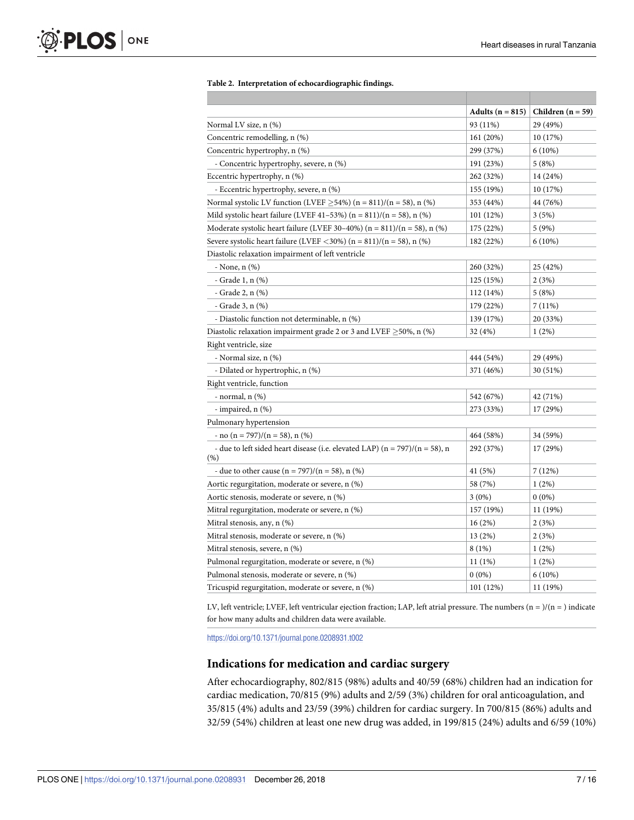<span id="page-6-0"></span>

|                                                                                       | Adults $(n = 815)$ | Children $(n = 59)$ |
|---------------------------------------------------------------------------------------|--------------------|---------------------|
| Normal LV size, n (%)                                                                 | 93 (11%)           | 29 (49%)            |
| Concentric remodelling, n (%)                                                         | 161 (20%)          | 10 (17%)            |
| Concentric hypertrophy, n (%)                                                         | 299 (37%)          | 6 (10%)             |
| - Concentric hypertrophy, severe, n (%)                                               | 191 (23%)          | 5(8%)               |
| Eccentric hypertrophy, n (%)                                                          | 262 (32%)          | 14 (24%)            |
| - Eccentric hypertrophy, severe, n (%)                                                | 155 (19%)          | 10 (17%)            |
| Normal systolic LV function (LVEF $\geq$ 54%) (n = 811)/(n = 58), n (%)               | 353 (44%)          | 44 (76%)            |
| Mild systolic heart failure (LVEF 41-53%) ( $n = 811$ )/( $n = 58$ ), $n$ (%)         | 101 (12%)          | 3(5%)               |
| Moderate systolic heart failure (LVEF 30-40%) ( $n = 811$ )/( $n = 58$ ), $n$ (%)     | 175 (22%)          | 5 (9%)              |
| Severe systolic heart failure (LVEF $\langle 30\% \rangle$ (n = 811)/(n = 58), n (%)  | 182 (22%)          | $6(10\%)$           |
| Diastolic relaxation impairment of left ventricle                                     |                    |                     |
| - None, n (%)                                                                         | 260 (32%)          | 25 (42%)            |
| - Grade 1, n (%)                                                                      | 125 (15%)          | 2(3%)               |
| - Grade 2, n (%)                                                                      | 112 (14%)          | 5(8%)               |
| - Grade 3, n (%)                                                                      | 179 (22%)          | 7 (11%)             |
| - Diastolic function not determinable, n (%)                                          | 139 (17%)          | 20 (33%)            |
| Diastolic relaxation impairment grade 2 or 3 and LVEF $>50\%$ , n (%)                 | 32 (4%)            | 1(2%)               |
| Right ventricle, size                                                                 |                    |                     |
| - Normal size, n (%)                                                                  | 444 (54%)          | 29 (49%)            |
| - Dilated or hypertrophic, n (%)                                                      | 371 (46%)          | 30 (51%)            |
| Right ventricle, function                                                             |                    |                     |
| - normal, $n$ $(\%)$                                                                  | 542 (67%)          | 42 (71%)            |
| - impaired, n (%)                                                                     | 273 (33%)          | 17 (29%)            |
| Pulmonary hypertension                                                                |                    |                     |
| $-$ no (n = 797)/(n = 58), n (%)                                                      | 464 (58%)          | 34 (59%)            |
| - due to left sided heart disease (i.e. elevated LAP) $(n = 797)/(n = 58)$ , n<br>(%) | 292 (37%)          | 17 (29%)            |
| - due to other cause $(n = 797)/(n = 58)$ , n (%)                                     | 41 (5%)            | 7 (12%)             |
| Aortic regurgitation, moderate or severe, n (%)                                       | 58 (7%)            | 1(2%)               |
| Aortic stenosis, moderate or severe, n (%)                                            | $3(0\%)$           | $0(0\%)$            |
| Mitral regurgitation, moderate or severe, n (%)                                       | 157 (19%)          | 11 (19%)            |
| Mitral stenosis, any, n (%)                                                           | 16(2%)             | 2(3%)               |
| Mitral stenosis, moderate or severe, n (%)                                            | 13(2%)             | 2(3%)               |
| Mitral stenosis, severe, n (%)                                                        | 8(1%)              | 1(2%)               |
| Pulmonal regurgitation, moderate or severe, n (%)                                     | 11(1%)             | 1(2%)               |
| Pulmonal stenosis, moderate or severe, n (%)                                          | $0(0\%)$           | $6(10\%)$           |
| Tricuspid regurgitation, moderate or severe, n (%)                                    | 101 (12%)          | 11 (19%)            |
|                                                                                       |                    |                     |

LV, left ventricle; LVEF, left ventricular ejection fraction; LAP, left atrial pressure. The numbers (n = )/(n = ) indicate for how many adults and children data were available.

<https://doi.org/10.1371/journal.pone.0208931.t002>

#### **Indications for medication and cardiac surgery**

After echocardiography, 802/815 (98%) adults and 40/59 (68%) children had an indication for cardiac medication, 70/815 (9%) adults and 2/59 (3%) children for oral anticoagulation, and 35/815 (4%) adults and 23/59 (39%) children for cardiac surgery. In 700/815 (86%) adults and 32/59 (54%) children at least one new drug was added, in 199/815 (24%) adults and 6/59 (10%)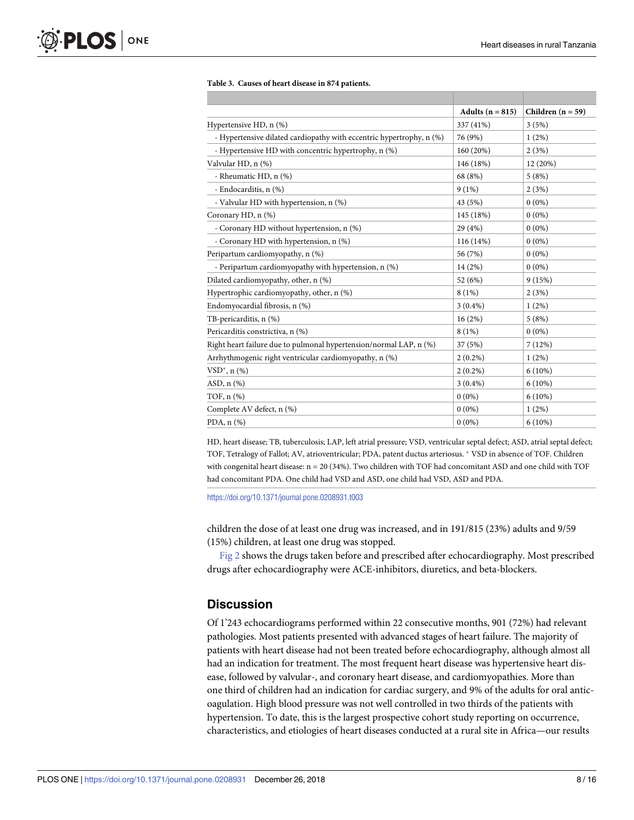|                                                                      | Adults $(n = 815)$ | Children $(n = 59)$ |
|----------------------------------------------------------------------|--------------------|---------------------|
| Hypertensive HD, n (%)                                               | 337 (41%)          | 3(5%)               |
| - Hypertensive dilated cardiopathy with eccentric hypertrophy, n (%) | 76 (9%)            | 1(2%)               |
| - Hypertensive HD with concentric hypertrophy, n (%)                 | 160 (20%)          | 2(3%)               |
| Valvular HD, n (%)                                                   | 146 (18%)          | 12 (20%)            |
| - Rheumatic HD, n (%)                                                | 68 (8%)            | 5(8%)               |
| - Endocarditis, n (%)                                                | 9(1%)              | 2(3%)               |
| - Valvular HD with hypertension, n (%)                               | 43 (5%)            | $0(0\%)$            |
| Coronary HD, n (%)                                                   | 145 (18%)          | $0(0\%)$            |
| - Coronary HD without hypertension, n (%)                            | 29 (4%)            | $0(0\%)$            |
| - Coronary HD with hypertension, n (%)                               | 116 (14%)          | $0(0\%)$            |
| Peripartum cardiomyopathy, n (%)                                     | 56 (7%)            | $0(0\%)$            |
| - Peripartum cardiomyopathy with hypertension, n (%)                 | 14 (2%)            | $0(0\%)$            |
| Dilated cardiomyopathy, other, n (%)                                 | 52 (6%)            | 9(15%)              |
| Hypertrophic cardiomyopathy, other, n (%)                            | 8(1%)              | 2(3%)               |
| Endomyocardial fibrosis, n (%)                                       | $3(0.4\%)$         | 1(2%)               |
| TB-pericarditis, n (%)                                               | 16(2%)             | 5(8%)               |
| Pericarditis constrictiva, n (%)                                     | 8(1%)              | $0(0\%)$            |
| Right heart failure due to pulmonal hypertension/normal LAP, n (%)   | 37 (5%)            | 7(12%)              |
| Arrhythmogenic right ventricular cardiomyopathy, n (%)               | $2(0.2\%)$         | $1(2\%)$            |
| $VSD^*$ , n $(\%)$                                                   | $2(0.2\%)$         | $6(10\%)$           |
| ASD, $n$ $%$                                                         | $3(0.4\%)$         | $6(10\%)$           |
| TOF, $n$ $(\%)$                                                      | $0(0\%)$           | $6(10\%)$           |
| Complete AV defect, n (%)                                            | $0(0\%)$           | 1(2%)               |
| PDA, $n$ $%$                                                         | $0(0\%)$           | $6(10\%)$           |

#### <span id="page-7-0"></span>**[Table](#page-4-0) 3. Causes of heart disease in 874 patients.**

HD, heart disease; TB, tuberculosis; LAP, left atrial pressure; VSD, ventricular septal defect; ASD, atrial septal defect; TOF, Tetralogy of Fallot; AV, atrioventricular; PDA, patent ductus arteriosus. � VSD in absence of TOF. Children with congenital heart disease: n = 20 (34%). Two children with TOF had concomitant ASD and one child with TOF had concomitant PDA. One child had VSD and ASD, one child had VSD, ASD and PDA.

<https://doi.org/10.1371/journal.pone.0208931.t003>

children the dose of at least one drug was increased, and in 191/815 (23%) adults and 9/59 (15%) children, at least one drug was stopped.

[Fig](#page-9-0) 2 shows the drugs taken before and prescribed after echocardiography. Most prescribed drugs after echocardiography were ACE-inhibitors, diuretics, and beta-blockers.

### **Discussion**

Of 1'243 echocardiograms performed within 22 consecutive months, 901 (72%) had relevant pathologies. Most patients presented with advanced stages of heart failure. The majority of patients with heart disease had not been treated before echocardiography, although almost all had an indication for treatment. The most frequent heart disease was hypertensive heart disease, followed by valvular-, and coronary heart disease, and cardiomyopathies. More than one third of children had an indication for cardiac surgery, and 9% of the adults for oral anticoagulation. High blood pressure was not well controlled in two thirds of the patients with hypertension. To date, this is the largest prospective cohort study reporting on occurrence, characteristics, and etiologies of heart diseases conducted at a rural site in Africa—our results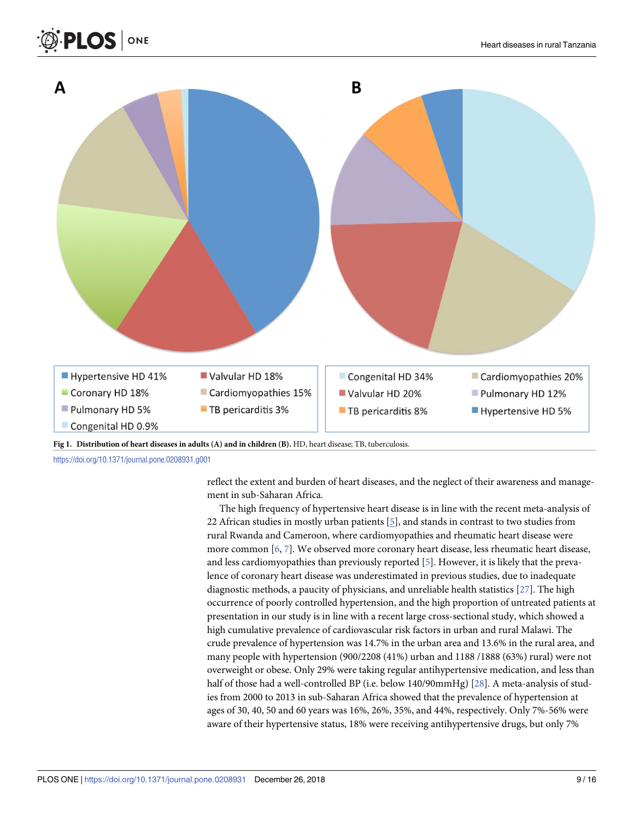

```
Fig 1. Distribution of heart diseases in adults (A) and in children (B). HD, heart disease; TB, tuberculosis.
```
<https://doi.org/10.1371/journal.pone.0208931.g001>

ONE

<span id="page-8-0"></span>**PLOS** I

reflect the extent and burden of heart diseases, and the neglect of their awareness and management in sub-Saharan Africa.

The high frequency of hypertensive heart disease is in line with the recent meta-analysis of 22 African studies in mostly urban patients [[5](#page-12-0)], and stands in contrast to two studies from rural Rwanda and Cameroon, where cardiomyopathies and rheumatic heart disease were more common [\[6](#page-12-0), [7](#page-13-0)]. We observed more coronary heart disease, less rheumatic heart disease, and less cardiomyopathies than previously reported [[5\]](#page-12-0). However, it is likely that the prevalence of coronary heart disease was underestimated in previous studies, due to inadequate diagnostic methods, a paucity of physicians, and unreliable health statistics [\[27\]](#page-14-0). The high occurrence of poorly controlled hypertension, and the high proportion of untreated patients at presentation in our study is in line with a recent large cross-sectional study, which showed a high cumulative prevalence of cardiovascular risk factors in urban and rural Malawi. The crude prevalence of hypertension was 14.7% in the urban area and 13.6% in the rural area, and many people with hypertension (900/2208 (41%) urban and 1188 /1888 (63%) rural) were not overweight or obese. Only 29% were taking regular antihypertensive medication, and less than half of those had a well-controlled BP (i.e. below 140/90mmHg) [\[28\]](#page-14-0). A meta-analysis of studies from 2000 to 2013 in sub-Saharan Africa showed that the prevalence of hypertension at ages of 30, 40, 50 and 60 years was 16%, 26%, 35%, and 44%, respectively. Only 7%-56% were aware of their hypertensive status, 18% were receiving antihypertensive drugs, but only 7%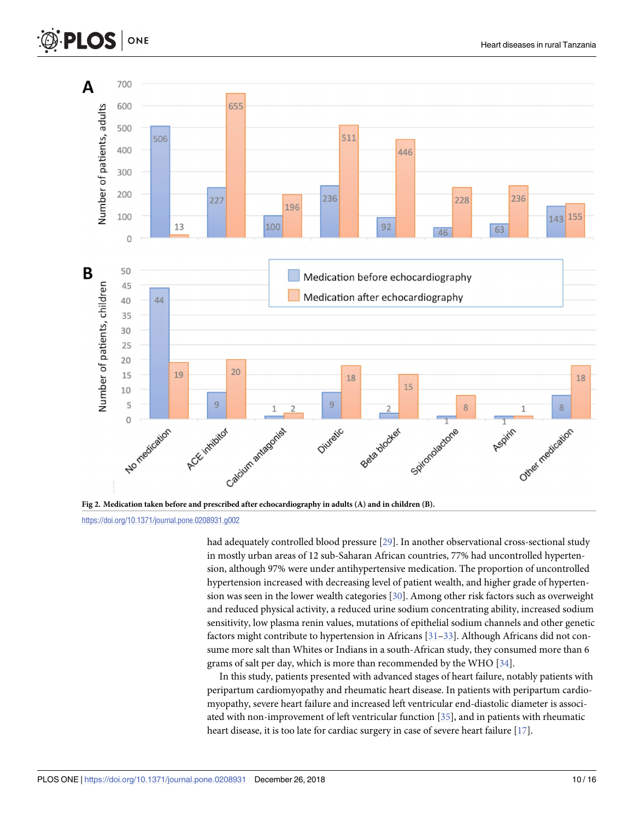<span id="page-9-0"></span>





<https://doi.org/10.1371/journal.pone.0208931.g002>

had adequately controlled blood pressure [[29](#page-14-0)]. In another observational cross-sectional study in mostly urban areas of 12 sub-Saharan African countries, 77% had uncontrolled hypertension, although 97% were under antihypertensive medication. The proportion of uncontrolled hypertension increased with decreasing level of patient wealth, and higher grade of hypertension was seen in the lower wealth categories [\[30\]](#page-14-0). Among other risk factors such as overweight and reduced physical activity, a reduced urine sodium concentrating ability, increased sodium sensitivity, low plasma renin values, mutations of epithelial sodium channels and other genetic factors might contribute to hypertension in Africans [[31–33\]](#page-14-0). Although Africans did not consume more salt than Whites or Indians in a south-African study, they consumed more than 6 grams of salt per day, which is more than recommended by the WHO [\[34\]](#page-14-0).

In this study, patients presented with advanced stages of heart failure, notably patients with peripartum cardiomyopathy and rheumatic heart disease. In patients with peripartum cardiomyopathy, severe heart failure and increased left ventricular end-diastolic diameter is associated with non-improvement of left ventricular function [[35](#page-14-0)], and in patients with rheumatic heart disease, it is too late for cardiac surgery in case of severe heart failure [[17](#page-13-0)].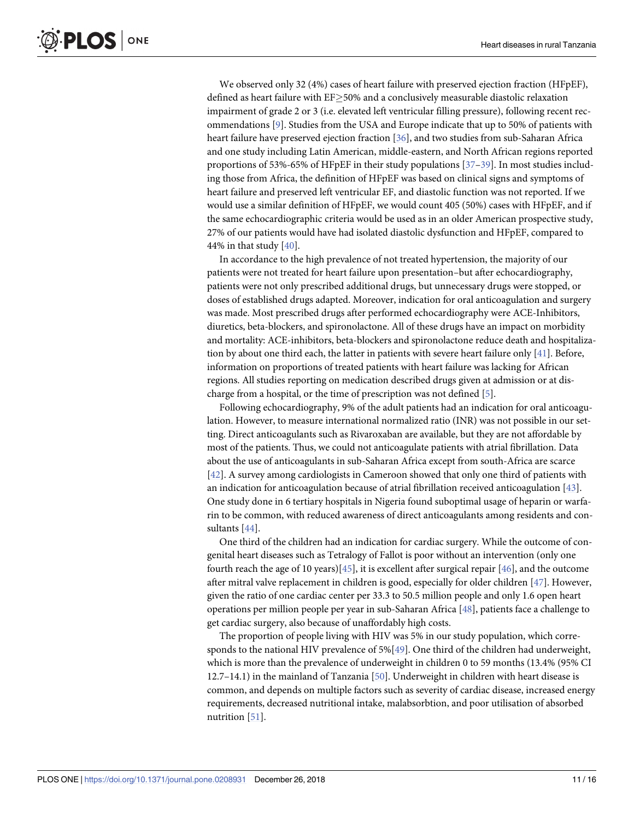<span id="page-10-0"></span>We observed only 32 (4%) cases of heart failure with preserved ejection fraction (HFpEF), defined as heart failure with  $EF \geq 50\%$  and a conclusively measurable diastolic relaxation impairment of grade 2 or 3 (i.e. elevated left ventricular filling pressure), following recent recommendations [\[9\]](#page-13-0). Studies from the USA and Europe indicate that up to 50% of patients with heart failure have preserved ejection fraction [[36](#page-14-0)], and two studies from sub-Saharan Africa and one study including Latin American, middle-eastern, and North African regions reported proportions of 53%-65% of HFpEF in their study populations [[37–39\]](#page-14-0). In most studies including those from Africa, the definition of HFpEF was based on clinical signs and symptoms of heart failure and preserved left ventricular EF, and diastolic function was not reported. If we would use a similar definition of HFpEF, we would count 405 (50%) cases with HFpEF, and if the same echocardiographic criteria would be used as in an older American prospective study, 27% of our patients would have had isolated diastolic dysfunction and HFpEF, compared to 44% in that study [[40](#page-14-0)].

In accordance to the high prevalence of not treated hypertension, the majority of our patients were not treated for heart failure upon presentation–but after echocardiography, patients were not only prescribed additional drugs, but unnecessary drugs were stopped, or doses of established drugs adapted. Moreover, indication for oral anticoagulation and surgery was made. Most prescribed drugs after performed echocardiography were ACE-Inhibitors, diuretics, beta-blockers, and spironolactone. All of these drugs have an impact on morbidity and mortality: ACE-inhibitors, beta-blockers and spironolactone reduce death and hospitalization by about one third each, the latter in patients with severe heart failure only [[41](#page-15-0)]. Before, information on proportions of treated patients with heart failure was lacking for African regions. All studies reporting on medication described drugs given at admission or at discharge from a hospital, or the time of prescription was not defined [[5](#page-12-0)].

Following echocardiography, 9% of the adult patients had an indication for oral anticoagulation. However, to measure international normalized ratio (INR) was not possible in our setting. Direct anticoagulants such as Rivaroxaban are available, but they are not affordable by most of the patients. Thus, we could not anticoagulate patients with atrial fibrillation. Data about the use of anticoagulants in sub-Saharan Africa except from south-Africa are scarce [\[42\]](#page-15-0). A survey among cardiologists in Cameroon showed that only one third of patients with an indication for anticoagulation because of atrial fibrillation received anticoagulation [[43](#page-15-0)]. One study done in 6 tertiary hospitals in Nigeria found suboptimal usage of heparin or warfarin to be common, with reduced awareness of direct anticoagulants among residents and consultants [\[44\]](#page-15-0).

One third of the children had an indication for cardiac surgery. While the outcome of congenital heart diseases such as Tetralogy of Fallot is poor without an intervention (only one fourth reach the age of 10 years)[[45](#page-15-0)], it is excellent after surgical repair [\[46\]](#page-15-0), and the outcome after mitral valve replacement in children is good, especially for older children [[47](#page-15-0)]. However, given the ratio of one cardiac center per 33.3 to 50.5 million people and only 1.6 open heart operations per million people per year in sub-Saharan Africa [[48](#page-15-0)], patients face a challenge to get cardiac surgery, also because of unaffordably high costs.

The proportion of people living with HIV was 5% in our study population, which corresponds to the national HIV prevalence of 5%[\[49\]](#page-15-0). One third of the children had underweight, which is more than the prevalence of underweight in children 0 to 59 months (13.4% (95% CI 12.7–14.1) in the mainland of Tanzania [\[50\]](#page-15-0). Underweight in children with heart disease is common, and depends on multiple factors such as severity of cardiac disease, increased energy requirements, decreased nutritional intake, malabsorbtion, and poor utilisation of absorbed nutrition [[51](#page-15-0)].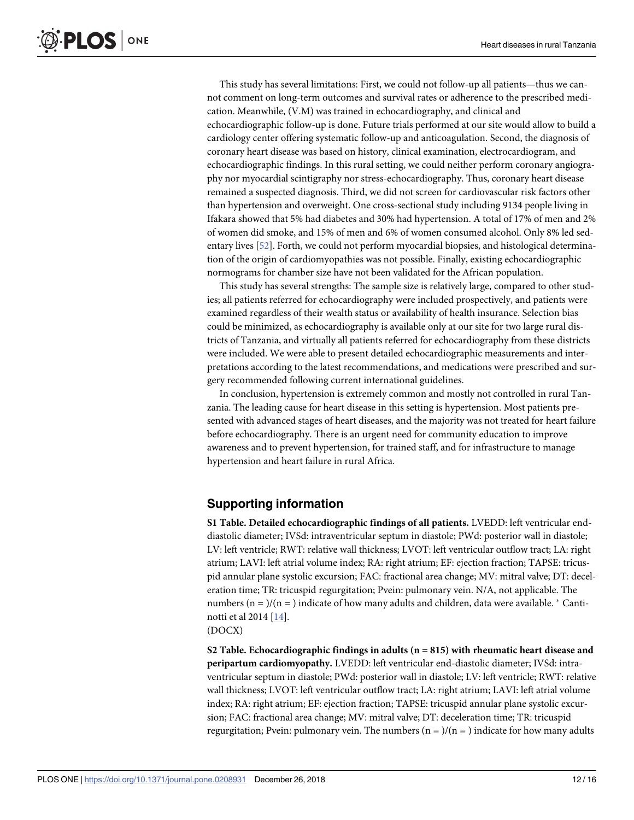<span id="page-11-0"></span>This study has several limitations: First, we could not follow-up all patients—thus we cannot comment on long-term outcomes and survival rates or adherence to the prescribed medication. Meanwhile, (V.M) was trained in echocardiography, and clinical and echocardiographic follow-up is done. Future trials performed at our site would allow to build a cardiology center offering systematic follow-up and anticoagulation. Second, the diagnosis of coronary heart disease was based on history, clinical examination, electrocardiogram, and echocardiographic findings. In this rural setting, we could neither perform coronary angiography nor myocardial scintigraphy nor stress-echocardiography. Thus, coronary heart disease remained a suspected diagnosis. Third, we did not screen for cardiovascular risk factors other than hypertension and overweight. One cross-sectional study including 9134 people living in Ifakara showed that 5% had diabetes and 30% had hypertension. A total of 17% of men and 2% of women did smoke, and 15% of men and 6% of women consumed alcohol. Only 8% led sedentary lives [[52](#page-15-0)]. Forth, we could not perform myocardial biopsies, and histological determination of the origin of cardiomyopathies was not possible. Finally, existing echocardiographic normograms for chamber size have not been validated for the African population.

This study has several strengths: The sample size is relatively large, compared to other studies; all patients referred for echocardiography were included prospectively, and patients were examined regardless of their wealth status or availability of health insurance. Selection bias could be minimized, as echocardiography is available only at our site for two large rural districts of Tanzania, and virtually all patients referred for echocardiography from these districts were included. We were able to present detailed echocardiographic measurements and interpretations according to the latest recommendations, and medications were prescribed and surgery recommended following current international guidelines.

In conclusion, hypertension is extremely common and mostly not controlled in rural Tanzania. The leading cause for heart disease in this setting is hypertension. Most patients presented with advanced stages of heart diseases, and the majority was not treated for heart failure before echocardiography. There is an urgent need for community education to improve awareness and to prevent hypertension, for trained staff, and for infrastructure to manage hypertension and heart failure in rural Africa.

## **Supporting information**

**S1 [Table.](http://www.plosone.org/article/fetchSingleRepresentation.action?uri=info:doi/10.1371/journal.pone.0208931.s001) Detailed echocardiographic findings of all patients.** LVEDD: left ventricular enddiastolic diameter; IVSd: intraventricular septum in diastole; PWd: posterior wall in diastole; LV: left ventricle; RWT: relative wall thickness; LVOT: left ventricular outflow tract; LA: right atrium; LAVI: left atrial volume index; RA: right atrium; EF: ejection fraction; TAPSE: tricuspid annular plane systolic excursion; FAC: fractional area change; MV: mitral valve; DT: deceleration time; TR: tricuspid regurgitation; Pvein: pulmonary vein. N/A, not applicable. The numbers (n = )/(n = ) indicate of how many adults and children, data were available.  $*$  Cantinotti et al 2014 [\[14\]](#page-13-0).

(DOCX)

**S2 [Table.](http://www.plosone.org/article/fetchSingleRepresentation.action?uri=info:doi/10.1371/journal.pone.0208931.s002) Echocardiographic findings in adults (n = 815) with rheumatic heart disease and peripartum cardiomyopathy.** LVEDD: left ventricular end-diastolic diameter; IVSd: intraventricular septum in diastole; PWd: posterior wall in diastole; LV: left ventricle; RWT: relative wall thickness; LVOT: left ventricular outflow tract; LA: right atrium; LAVI: left atrial volume index; RA: right atrium; EF: ejection fraction; TAPSE: tricuspid annular plane systolic excursion; FAC: fractional area change; MV: mitral valve; DT: deceleration time; TR: tricuspid regurgitation; Pvein: pulmonary vein. The numbers  $(n =)/(n =)$  indicate for how many adults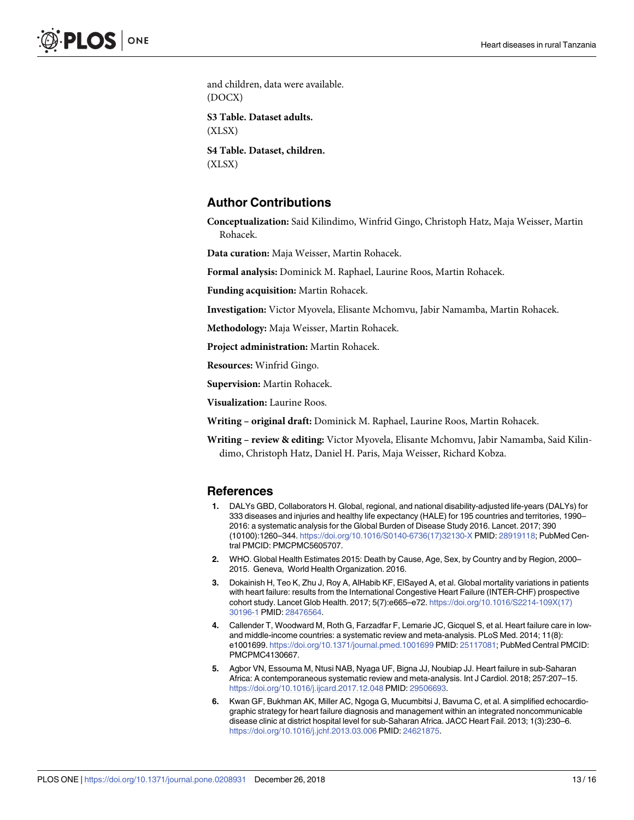<span id="page-12-0"></span>and children, data were available. (DOCX) **S3 [Table.](http://www.plosone.org/article/fetchSingleRepresentation.action?uri=info:doi/10.1371/journal.pone.0208931.s003) Dataset adults.** (XLSX) **S4 [Table.](http://www.plosone.org/article/fetchSingleRepresentation.action?uri=info:doi/10.1371/journal.pone.0208931.s004) Dataset, children.** (XLSX)

## **Author Contributions**

**Conceptualization:** Said Kilindimo, Winfrid Gingo, Christoph Hatz, Maja Weisser, Martin Rohacek.

**Data curation:** Maja Weisser, Martin Rohacek.

**Formal analysis:** Dominick M. Raphael, Laurine Roos, Martin Rohacek.

**Funding acquisition:** Martin Rohacek.

**Investigation:** Victor Myovela, Elisante Mchomvu, Jabir Namamba, Martin Rohacek.

**Methodology:** Maja Weisser, Martin Rohacek.

**Project administration:** Martin Rohacek.

**Resources:** Winfrid Gingo.

**Supervision:** Martin Rohacek.

**Visualization:** Laurine Roos.

**Writing – original draft:** Dominick M. Raphael, Laurine Roos, Martin Rohacek.

**Writing – review & editing:** Victor Myovela, Elisante Mchomvu, Jabir Namamba, Said Kilindimo, Christoph Hatz, Daniel H. Paris, Maja Weisser, Richard Kobza.

#### **References**

- **[1](#page-1-0).** DALYs GBD, Collaborators H. Global, regional, and national disability-adjusted life-years (DALYs) for 333 diseases and injuries and healthy life expectancy (HALE) for 195 countries and territories, 1990– 2016: a systematic analysis for the Global Burden of Disease Study 2016. Lancet. 2017; 390 (10100):1260–344. [https://doi.org/10.1016/S0140-6736\(17\)32130-X](https://doi.org/10.1016/S0140-6736(17)32130-X) PMID: [28919118;](http://www.ncbi.nlm.nih.gov/pubmed/28919118) PubMed Central PMCID: PMCPMC5605707.
- **[2](#page-1-0).** WHO. Global Health Estimates 2015: Death by Cause, Age, Sex, by Country and by Region, 2000– 2015. Geneva, World Health Organization. 2016.
- **[3](#page-1-0).** Dokainish H, Teo K, Zhu J, Roy A, AlHabib KF, ElSayed A, et al. Global mortality variations in patients with heart failure: results from the International Congestive Heart Failure (INTER-CHF) prospective cohort study. Lancet Glob Health. 2017; 5(7):e665–e72. [https://doi.org/10.1016/S2214-109X\(17\)](https://doi.org/10.1016/S2214-109X(17)30196-1) [30196-1](https://doi.org/10.1016/S2214-109X(17)30196-1) PMID: [28476564.](http://www.ncbi.nlm.nih.gov/pubmed/28476564)
- **[4](#page-1-0).** Callender T, Woodward M, Roth G, Farzadfar F, Lemarie JC, Gicquel S, et al. Heart failure care in lowand middle-income countries: a systematic review and meta-analysis. PLoS Med. 2014; 11(8): e1001699. <https://doi.org/10.1371/journal.pmed.1001699> PMID: [25117081](http://www.ncbi.nlm.nih.gov/pubmed/25117081); PubMed Central PMCID: PMCPMC4130667.
- **[5](#page-1-0).** Agbor VN, Essouma M, Ntusi NAB, Nyaga UF, Bigna JJ, Noubiap JJ. Heart failure in sub-Saharan Africa: A contemporaneous systematic review and meta-analysis. Int J Cardiol. 2018; 257:207–15. <https://doi.org/10.1016/j.ijcard.2017.12.048> PMID: [29506693.](http://www.ncbi.nlm.nih.gov/pubmed/29506693)
- **[6](#page-1-0).** Kwan GF, Bukhman AK, Miller AC, Ngoga G, Mucumbitsi J, Bavuma C, et al. A simplified echocardiographic strategy for heart failure diagnosis and management within an integrated noncommunicable disease clinic at district hospital level for sub-Saharan Africa. JACC Heart Fail. 2013; 1(3):230–6. <https://doi.org/10.1016/j.jchf.2013.03.006> PMID: [24621875](http://www.ncbi.nlm.nih.gov/pubmed/24621875).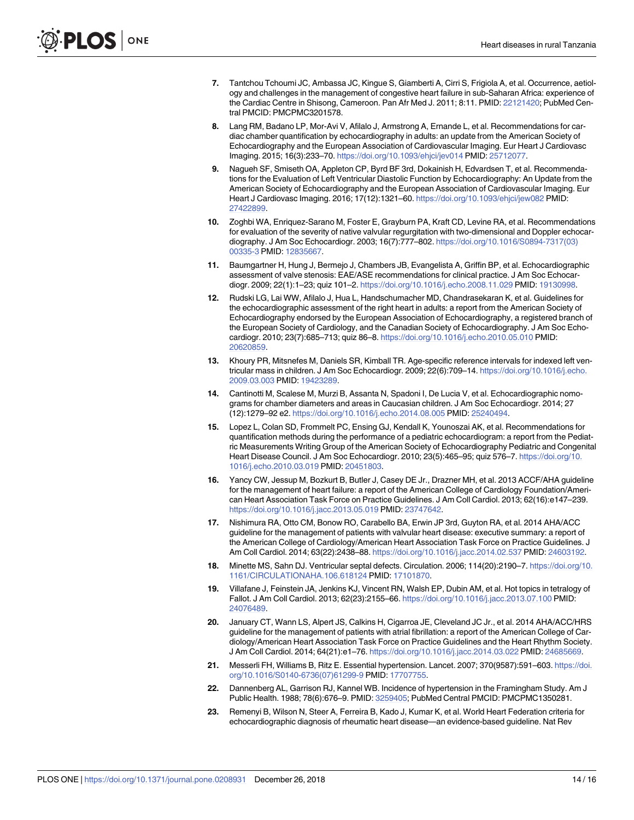- <span id="page-13-0"></span>**[7](#page-1-0).** Tantchou Tchoumi JC, Ambassa JC, Kingue S, Giamberti A, Cirri S, Frigiola A, et al. Occurrence, aetiology and challenges in the management of congestive heart failure in sub-Saharan Africa: experience of the Cardiac Centre in Shisong, Cameroon. Pan Afr Med J. 2011; 8:11. PMID: [22121420](http://www.ncbi.nlm.nih.gov/pubmed/22121420); PubMed Central PMCID: PMCPMC3201578.
- **[8](#page-2-0).** Lang RM, Badano LP, Mor-Avi V, Afilalo J, Armstrong A, Ernande L, et al. Recommendations for cardiac chamber quantification by echocardiography in adults: an update from the American Society of Echocardiography and the European Association of Cardiovascular Imaging. Eur Heart J Cardiovasc Imaging. 2015; 16(3):233–70. <https://doi.org/10.1093/ehjci/jev014> PMID: [25712077.](http://www.ncbi.nlm.nih.gov/pubmed/25712077)
- **[9](#page-2-0).** Nagueh SF, Smiseth OA, Appleton CP, Byrd BF 3rd, Dokainish H, Edvardsen T, et al. Recommendations for the Evaluation of Left Ventricular Diastolic Function by Echocardiography: An Update from the American Society of Echocardiography and the European Association of Cardiovascular Imaging. Eur Heart J Cardiovasc Imaging. 2016; 17(12):1321–60. <https://doi.org/10.1093/ehjci/jew082> PMID: [27422899](http://www.ncbi.nlm.nih.gov/pubmed/27422899).
- **[10](#page-3-0).** Zoghbi WA, Enriquez-Sarano M, Foster E, Grayburn PA, Kraft CD, Levine RA, et al. Recommendations for evaluation of the severity of native valvular regurgitation with two-dimensional and Doppler echocardiography. J Am Soc Echocardiogr. 2003; 16(7):777–802. [https://doi.org/10.1016/S0894-7317\(03\)](https://doi.org/10.1016/S0894-7317(03)00335-3) [00335-3](https://doi.org/10.1016/S0894-7317(03)00335-3) PMID: [12835667.](http://www.ncbi.nlm.nih.gov/pubmed/12835667)
- **11.** Baumgartner H, Hung J, Bermejo J, Chambers JB, Evangelista A, Griffin BP, et al. Echocardiographic assessment of valve stenosis: EAE/ASE recommendations for clinical practice. J Am Soc Echocardiogr. 2009; 22(1):1–23; quiz 101–2. <https://doi.org/10.1016/j.echo.2008.11.029> PMID: [19130998.](http://www.ncbi.nlm.nih.gov/pubmed/19130998)
- **12.** Rudski LG, Lai WW, Afilalo J, Hua L, Handschumacher MD, Chandrasekaran K, et al. Guidelines for the echocardiographic assessment of the right heart in adults: a report from the American Society of Echocardiography endorsed by the European Association of Echocardiography, a registered branch of the European Society of Cardiology, and the Canadian Society of Echocardiography. J Am Soc Echocardiogr. 2010; 23(7):685–713; quiz 86–8. <https://doi.org/10.1016/j.echo.2010.05.010> PMID: [20620859](http://www.ncbi.nlm.nih.gov/pubmed/20620859).
- **[13](#page-3-0).** Khoury PR, Mitsnefes M, Daniels SR, Kimball TR. Age-specific reference intervals for indexed left ventricular mass in children. J Am Soc Echocardiogr. 2009; 22(6):709–14. [https://doi.org/10.1016/j.echo.](https://doi.org/10.1016/j.echo.2009.03.003) [2009.03.003](https://doi.org/10.1016/j.echo.2009.03.003) PMID: [19423289.](http://www.ncbi.nlm.nih.gov/pubmed/19423289)
- **[14](#page-11-0).** Cantinotti M, Scalese M, Murzi B, Assanta N, Spadoni I, De Lucia V, et al. Echocardiographic nomograms for chamber diameters and areas in Caucasian children. J Am Soc Echocardiogr. 2014; 27 (12):1279–92 e2. <https://doi.org/10.1016/j.echo.2014.08.005> PMID: [25240494](http://www.ncbi.nlm.nih.gov/pubmed/25240494).
- **[15](#page-2-0).** Lopez L, Colan SD, Frommelt PC, Ensing GJ, Kendall K, Younoszai AK, et al. Recommendations for quantification methods during the performance of a pediatric echocardiogram: a report from the Pediatric Measurements Writing Group of the American Society of Echocardiography Pediatric and Congenital Heart Disease Council. J Am Soc Echocardiogr. 2010; 23(5):465–95; quiz 576–7. [https://doi.org/10.](https://doi.org/10.1016/j.echo.2010.03.019) [1016/j.echo.2010.03.019](https://doi.org/10.1016/j.echo.2010.03.019) PMID: [20451803](http://www.ncbi.nlm.nih.gov/pubmed/20451803).
- **[16](#page-3-0).** Yancy CW, Jessup M, Bozkurt B, Butler J, Casey DE Jr., Drazner MH, et al. 2013 ACCF/AHA guideline for the management of heart failure: a report of the American College of Cardiology Foundation/American Heart Association Task Force on Practice Guidelines. J Am Coll Cardiol. 2013; 62(16):e147–239. <https://doi.org/10.1016/j.jacc.2013.05.019> PMID: [23747642](http://www.ncbi.nlm.nih.gov/pubmed/23747642).
- **[17](#page-9-0).** Nishimura RA, Otto CM, Bonow RO, Carabello BA, Erwin JP 3rd, Guyton RA, et al. 2014 AHA/ACC guideline for the management of patients with valvular heart disease: executive summary: a report of the American College of Cardiology/American Heart Association Task Force on Practice Guidelines. J Am Coll Cardiol. 2014; 63(22):2438–88. <https://doi.org/10.1016/j.jacc.2014.02.537> PMID: [24603192.](http://www.ncbi.nlm.nih.gov/pubmed/24603192)
- **18.** Minette MS, Sahn DJ. Ventricular septal defects. Circulation. 2006; 114(20):2190–7. [https://doi.org/10.](https://doi.org/10.1161/CIRCULATIONAHA.106.618124) [1161/CIRCULATIONAHA.106.618124](https://doi.org/10.1161/CIRCULATIONAHA.106.618124) PMID: [17101870](http://www.ncbi.nlm.nih.gov/pubmed/17101870).
- **[19](#page-3-0).** Villafane J, Feinstein JA, Jenkins KJ, Vincent RN, Walsh EP, Dubin AM, et al. Hot topics in tetralogy of Fallot. J Am Coll Cardiol. 2013; 62(23):2155–66. <https://doi.org/10.1016/j.jacc.2013.07.100> PMID: [24076489](http://www.ncbi.nlm.nih.gov/pubmed/24076489).
- **[20](#page-3-0).** January CT, Wann LS, Alpert JS, Calkins H, Cigarroa JE, Cleveland JC Jr., et al. 2014 AHA/ACC/HRS guideline for the management of patients with atrial fibrillation: a report of the American College of Cardiology/American Heart Association Task Force on Practice Guidelines and the Heart Rhythm Society. J Am Coll Cardiol. 2014; 64(21):e1–76. <https://doi.org/10.1016/j.jacc.2014.03.022> PMID: [24685669.](http://www.ncbi.nlm.nih.gov/pubmed/24685669)
- **[21](#page-3-0).** Messerli FH, Williams B, Ritz E. Essential hypertension. Lancet. 2007; 370(9587):591–603. [https://doi.](https://doi.org/10.1016/S0140-6736(07)61299-9) [org/10.1016/S0140-6736\(07\)61299-9](https://doi.org/10.1016/S0140-6736(07)61299-9) PMID: [17707755.](http://www.ncbi.nlm.nih.gov/pubmed/17707755)
- **[22](#page-3-0).** Dannenberg AL, Garrison RJ, Kannel WB. Incidence of hypertension in the Framingham Study. Am J Public Health. 1988; 78(6):676–9. PMID: [3259405](http://www.ncbi.nlm.nih.gov/pubmed/3259405); PubMed Central PMCID: PMCPMC1350281.
- **[23](#page-3-0).** Remenyi B, Wilson N, Steer A, Ferreira B, Kado J, Kumar K, et al. World Heart Federation criteria for echocardiographic diagnosis of rheumatic heart disease—an evidence-based guideline. Nat Rev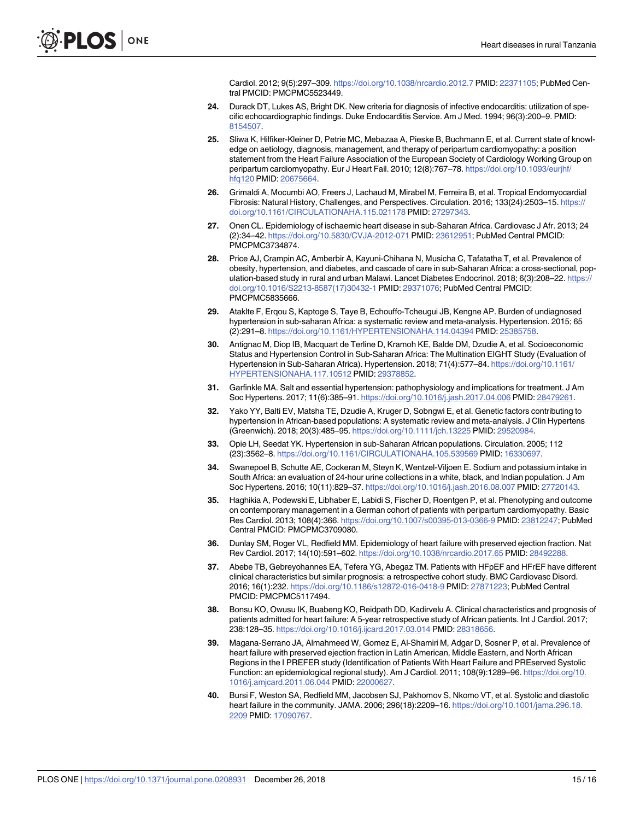Cardiol. 2012; 9(5):297–309. <https://doi.org/10.1038/nrcardio.2012.7> PMID: [22371105;](http://www.ncbi.nlm.nih.gov/pubmed/22371105) PubMed Central PMCID: PMCPMC5523449.

- <span id="page-14-0"></span>**[24](#page-3-0).** Durack DT, Lukes AS, Bright DK. New criteria for diagnosis of infective endocarditis: utilization of specific echocardiographic findings. Duke Endocarditis Service. Am J Med. 1994; 96(3):200–9. PMID: [8154507](http://www.ncbi.nlm.nih.gov/pubmed/8154507).
- **[25](#page-3-0).** Sliwa K, Hilfiker-Kleiner D, Petrie MC, Mebazaa A, Pieske B, Buchmann E, et al. Current state of knowledge on aetiology, diagnosis, management, and therapy of peripartum cardiomyopathy: a position statement from the Heart Failure Association of the European Society of Cardiology Working Group on peripartum cardiomyopathy. Eur J Heart Fail. 2010; 12(8):767–78. [https://doi.org/10.1093/eurjhf/](https://doi.org/10.1093/eurjhf/hfq120) [hfq120](https://doi.org/10.1093/eurjhf/hfq120) PMID: [20675664.](http://www.ncbi.nlm.nih.gov/pubmed/20675664)
- **[26](#page-3-0).** Grimaldi A, Mocumbi AO, Freers J, Lachaud M, Mirabel M, Ferreira B, et al. Tropical Endomyocardial Fibrosis: Natural History, Challenges, and Perspectives. Circulation. 2016; 133(24):2503–15. [https://](https://doi.org/10.1161/CIRCULATIONAHA.115.021178) [doi.org/10.1161/CIRCULATIONAHA.115.021178](https://doi.org/10.1161/CIRCULATIONAHA.115.021178) PMID: [27297343](http://www.ncbi.nlm.nih.gov/pubmed/27297343).
- **[27](#page-8-0).** Onen CL. Epidemiology of ischaemic heart disease in sub-Saharan Africa. Cardiovasc J Afr. 2013; 24 (2):34–42. <https://doi.org/10.5830/CVJA-2012-071> PMID: [23612951](http://www.ncbi.nlm.nih.gov/pubmed/23612951); PubMed Central PMCID: PMCPMC3734874.
- **[28](#page-8-0).** Price AJ, Crampin AC, Amberbir A, Kayuni-Chihana N, Musicha C, Tafatatha T, et al. Prevalence of obesity, hypertension, and diabetes, and cascade of care in sub-Saharan Africa: a cross-sectional, population-based study in rural and urban Malawi. Lancet Diabetes Endocrinol. 2018; 6(3):208–22. [https://](https://doi.org/10.1016/S2213-8587(17)30432-1) [doi.org/10.1016/S2213-8587\(17\)30432-1](https://doi.org/10.1016/S2213-8587(17)30432-1) PMID: [29371076](http://www.ncbi.nlm.nih.gov/pubmed/29371076); PubMed Central PMCID: PMCPMC5835666.
- **[29](#page-9-0).** Ataklte F, Erqou S, Kaptoge S, Taye B, Echouffo-Tcheugui JB, Kengne AP. Burden of undiagnosed hypertension in sub-saharan Africa: a systematic review and meta-analysis. Hypertension. 2015; 65 (2):291–8. <https://doi.org/10.1161/HYPERTENSIONAHA.114.04394> PMID: [25385758.](http://www.ncbi.nlm.nih.gov/pubmed/25385758)
- **[30](#page-9-0).** Antignac M, Diop IB, Macquart de Terline D, Kramoh KE, Balde DM, Dzudie A, et al. Socioeconomic Status and Hypertension Control in Sub-Saharan Africa: The Multination EIGHT Study (Evaluation of Hypertension in Sub-Saharan Africa). Hypertension. 2018; 71(4):577–84. [https://doi.org/10.1161/](https://doi.org/10.1161/HYPERTENSIONAHA.117.10512) [HYPERTENSIONAHA.117.10512](https://doi.org/10.1161/HYPERTENSIONAHA.117.10512) PMID: [29378852.](http://www.ncbi.nlm.nih.gov/pubmed/29378852)
- **[31](#page-9-0).** Garfinkle MA. Salt and essential hypertension: pathophysiology and implications for treatment. J Am Soc Hypertens. 2017; 11(6):385–91. <https://doi.org/10.1016/j.jash.2017.04.006> PMID: [28479261.](http://www.ncbi.nlm.nih.gov/pubmed/28479261)
- **32.** Yako YY, Balti EV, Matsha TE, Dzudie A, Kruger D, Sobngwi E, et al. Genetic factors contributing to hypertension in African-based populations: A systematic review and meta-analysis. J Clin Hypertens (Greenwich). 2018; 20(3):485–95. <https://doi.org/10.1111/jch.13225> PMID: [29520984](http://www.ncbi.nlm.nih.gov/pubmed/29520984).
- **[33](#page-9-0).** Opie LH, Seedat YK. Hypertension in sub-Saharan African populations. Circulation. 2005; 112 (23):3562–8. <https://doi.org/10.1161/CIRCULATIONAHA.105.539569> PMID: [16330697](http://www.ncbi.nlm.nih.gov/pubmed/16330697).
- **[34](#page-9-0).** Swanepoel B, Schutte AE, Cockeran M, Steyn K, Wentzel-Viljoen E. Sodium and potassium intake in South Africa: an evaluation of 24-hour urine collections in a white, black, and Indian population. J Am Soc Hypertens. 2016; 10(11):829–37. <https://doi.org/10.1016/j.jash.2016.08.007> PMID: [27720143](http://www.ncbi.nlm.nih.gov/pubmed/27720143).
- **[35](#page-9-0).** Haghikia A, Podewski E, Libhaber E, Labidi S, Fischer D, Roentgen P, et al. Phenotyping and outcome on contemporary management in a German cohort of patients with peripartum cardiomyopathy. Basic Res Cardiol. 2013; 108(4):366. <https://doi.org/10.1007/s00395-013-0366-9> PMID: [23812247;](http://www.ncbi.nlm.nih.gov/pubmed/23812247) PubMed Central PMCID: PMCPMC3709080.
- **[36](#page-10-0).** Dunlay SM, Roger VL, Redfield MM. Epidemiology of heart failure with preserved ejection fraction. Nat Rev Cardiol. 2017; 14(10):591–602. <https://doi.org/10.1038/nrcardio.2017.65> PMID: [28492288.](http://www.ncbi.nlm.nih.gov/pubmed/28492288)
- **[37](#page-10-0).** Abebe TB, Gebreyohannes EA, Tefera YG, Abegaz TM. Patients with HFpEF and HFrEF have different clinical characteristics but similar prognosis: a retrospective cohort study. BMC Cardiovasc Disord. 2016; 16(1):232. <https://doi.org/10.1186/s12872-016-0418-9> PMID: [27871223;](http://www.ncbi.nlm.nih.gov/pubmed/27871223) PubMed Central PMCID: PMCPMC5117494.
- **38.** Bonsu KO, Owusu IK, Buabeng KO, Reidpath DD, Kadirvelu A. Clinical characteristics and prognosis of patients admitted for heart failure: A 5-year retrospective study of African patients. Int J Cardiol. 2017; 238:128–35. <https://doi.org/10.1016/j.ijcard.2017.03.014> PMID: [28318656](http://www.ncbi.nlm.nih.gov/pubmed/28318656).
- **[39](#page-10-0).** Magana-Serrano JA, Almahmeed W, Gomez E, Al-Shamiri M, Adgar D, Sosner P, et al. Prevalence of heart failure with preserved ejection fraction in Latin American, Middle Eastern, and North African Regions in the I PREFER study (Identification of Patients With Heart Failure and PREserved Systolic Function: an epidemiological regional study). Am J Cardiol. 2011; 108(9):1289–96. [https://doi.org/10.](https://doi.org/10.1016/j.amjcard.2011.06.044) [1016/j.amjcard.2011.06.044](https://doi.org/10.1016/j.amjcard.2011.06.044) PMID: [22000627](http://www.ncbi.nlm.nih.gov/pubmed/22000627).
- **[40](#page-10-0).** Bursi F, Weston SA, Redfield MM, Jacobsen SJ, Pakhomov S, Nkomo VT, et al. Systolic and diastolic heart failure in the community. JAMA. 2006; 296(18):2209–16. [https://doi.org/10.1001/jama.296.18.](https://doi.org/10.1001/jama.296.18.2209) [2209](https://doi.org/10.1001/jama.296.18.2209) PMID: [17090767](http://www.ncbi.nlm.nih.gov/pubmed/17090767).